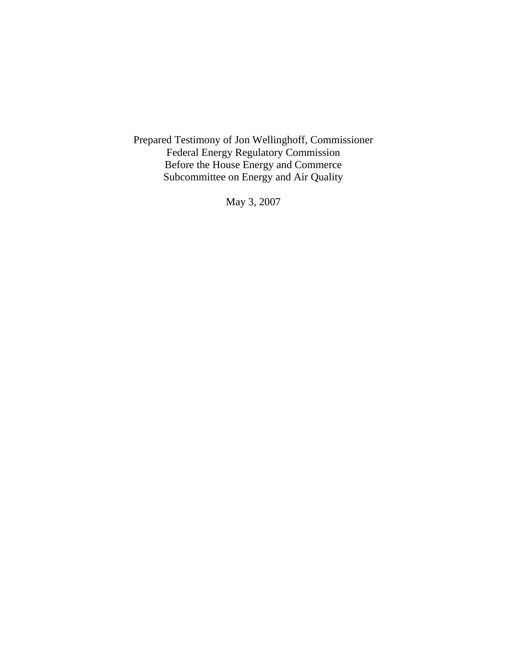Prepared Testimony of Jon Wellinghoff, Commissioner Federal Energy Regulatory Commission Before the House Energy and Commerce Subcommittee on Energy and Air Quality

May 3, 2007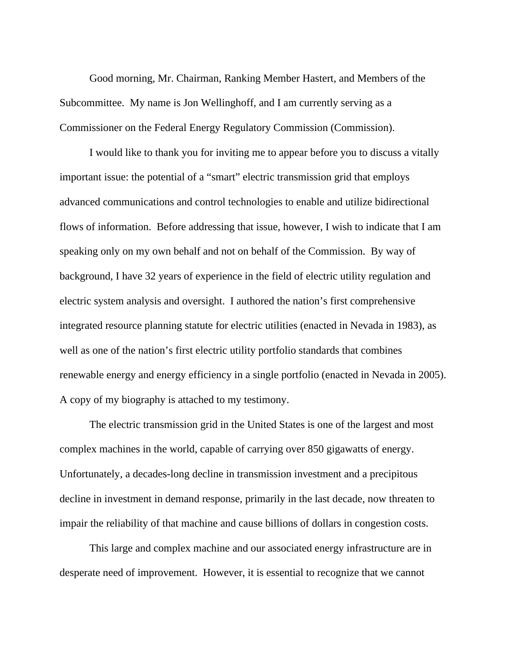Good morning, Mr. Chairman, Ranking Member Hastert, and Members of the Subcommittee. My name is Jon Wellinghoff, and I am currently serving as a Commissioner on the Federal Energy Regulatory Commission (Commission).

I would like to thank you for inviting me to appear before you to discuss a vitally important issue: the potential of a "smart" electric transmission grid that employs advanced communications and control technologies to enable and utilize bidirectional flows of information. Before addressing that issue, however, I wish to indicate that I am speaking only on my own behalf and not on behalf of the Commission. By way of background, I have 32 years of experience in the field of electric utility regulation and electric system analysis and oversight. I authored the nation's first comprehensive integrated resource planning statute for electric utilities (enacted in Nevada in 1983), as well as one of the nation's first electric utility portfolio standards that combines renewable energy and energy efficiency in a single portfolio (enacted in Nevada in 2005). A copy of my biography is attached to my testimony.

The electric transmission grid in the United States is one of the largest and most complex machines in the world, capable of carrying over 850 gigawatts of energy. Unfortunately, a decades-long decline in transmission investment and a precipitous decline in investment in demand response, primarily in the last decade, now threaten to impair the reliability of that machine and cause billions of dollars in congestion costs.

This large and complex machine and our associated energy infrastructure are in desperate need of improvement. However, it is essential to recognize that we cannot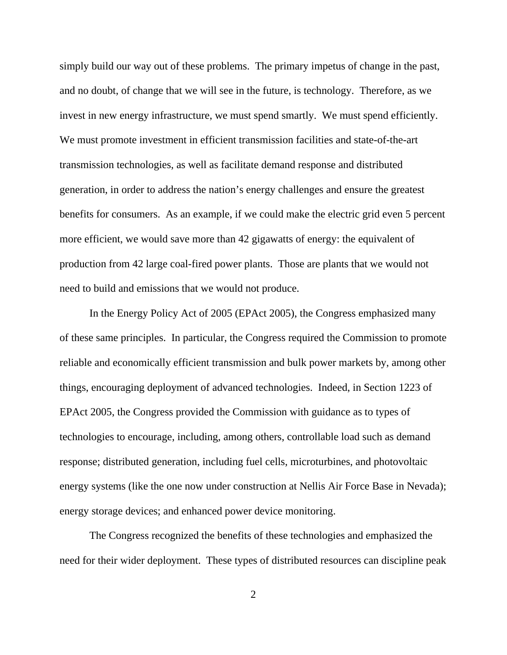simply build our way out of these problems. The primary impetus of change in the past, and no doubt, of change that we will see in the future, is technology. Therefore, as we invest in new energy infrastructure, we must spend smartly. We must spend efficiently. We must promote investment in efficient transmission facilities and state-of-the-art transmission technologies, as well as facilitate demand response and distributed generation, in order to address the nation's energy challenges and ensure the greatest benefits for consumers. As an example, if we could make the electric grid even 5 percent more efficient, we would save more than 42 gigawatts of energy: the equivalent of production from 42 large coal-fired power plants. Those are plants that we would not need to build and emissions that we would not produce.

In the Energy Policy Act of 2005 (EPAct 2005), the Congress emphasized many of these same principles. In particular, the Congress required the Commission to promote reliable and economically efficient transmission and bulk power markets by, among other things, encouraging deployment of advanced technologies. Indeed, in Section 1223 of EPAct 2005, the Congress provided the Commission with guidance as to types of technologies to encourage, including, among others, controllable load such as demand response; distributed generation, including fuel cells, microturbines, and photovoltaic energy systems (like the one now under construction at Nellis Air Force Base in Nevada); energy storage devices; and enhanced power device monitoring.

The Congress recognized the benefits of these technologies and emphasized the need for their wider deployment. These types of distributed resources can discipline peak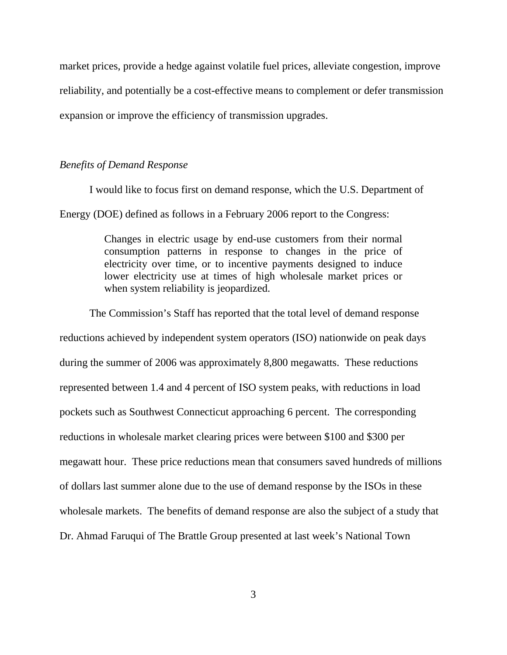market prices, provide a hedge against volatile fuel prices, alleviate congestion, improve reliability, and potentially be a cost-effective means to complement or defer transmission expansion or improve the efficiency of transmission upgrades.

## *Benefits of Demand Response*

I would like to focus first on demand response, which the U.S. Department of Energy (DOE) defined as follows in a February 2006 report to the Congress:

> Changes in electric usage by end-use customers from their normal consumption patterns in response to changes in the price of electricity over time, or to incentive payments designed to induce lower electricity use at times of high wholesale market prices or when system reliability is jeopardized.

The Commission's Staff has reported that the total level of demand response reductions achieved by independent system operators (ISO) nationwide on peak days during the summer of 2006 was approximately 8,800 megawatts. These reductions represented between 1.4 and 4 percent of ISO system peaks, with reductions in load pockets such as Southwest Connecticut approaching 6 percent. The corresponding reductions in wholesale market clearing prices were between \$100 and \$300 per megawatt hour. These price reductions mean that consumers saved hundreds of millions of dollars last summer alone due to the use of demand response by the ISOs in these wholesale markets. The benefits of demand response are also the subject of a study that Dr. Ahmad Faruqui of The Brattle Group presented at last week's National Town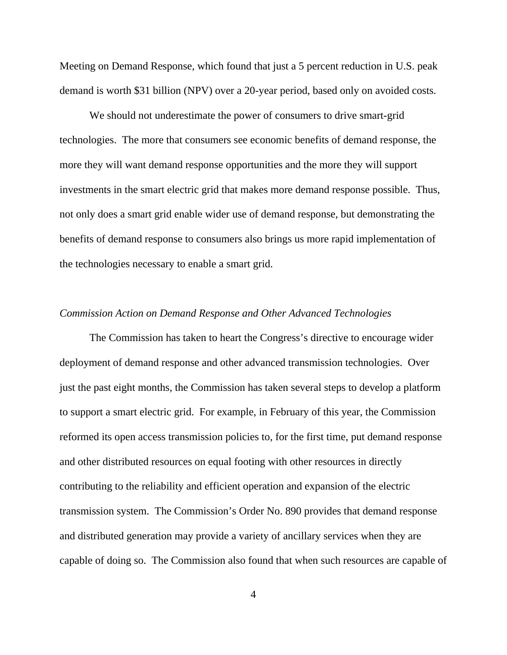Meeting on Demand Response, which found that just a 5 percent reduction in U.S. peak demand is worth \$31 billion (NPV) over a 20-year period, based only on avoided costs.

We should not underestimate the power of consumers to drive smart-grid technologies. The more that consumers see economic benefits of demand response, the more they will want demand response opportunities and the more they will support investments in the smart electric grid that makes more demand response possible. Thus, not only does a smart grid enable wider use of demand response, but demonstrating the benefits of demand response to consumers also brings us more rapid implementation of the technologies necessary to enable a smart grid.

## *Commission Action on Demand Response and Other Advanced Technologies*

 The Commission has taken to heart the Congress's directive to encourage wider deployment of demand response and other advanced transmission technologies. Over just the past eight months, the Commission has taken several steps to develop a platform to support a smart electric grid. For example, in February of this year, the Commission reformed its open access transmission policies to, for the first time, put demand response and other distributed resources on equal footing with other resources in directly contributing to the reliability and efficient operation and expansion of the electric transmission system. The Commission's Order No. 890 provides that demand response and distributed generation may provide a variety of ancillary services when they are capable of doing so. The Commission also found that when such resources are capable of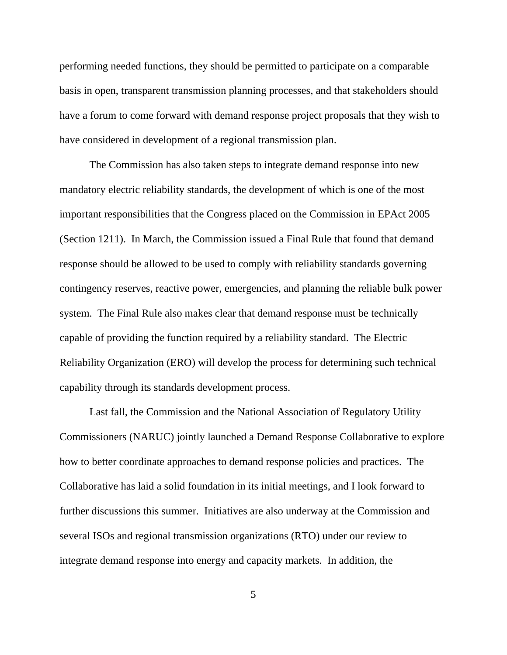performing needed functions, they should be permitted to participate on a comparable basis in open, transparent transmission planning processes, and that stakeholders should have a forum to come forward with demand response project proposals that they wish to have considered in development of a regional transmission plan.

 The Commission has also taken steps to integrate demand response into new mandatory electric reliability standards, the development of which is one of the most important responsibilities that the Congress placed on the Commission in EPAct 2005 (Section 1211). In March, the Commission issued a Final Rule that found that demand response should be allowed to be used to comply with reliability standards governing contingency reserves, reactive power, emergencies, and planning the reliable bulk power system. The Final Rule also makes clear that demand response must be technically capable of providing the function required by a reliability standard. The Electric Reliability Organization (ERO) will develop the process for determining such technical capability through its standards development process.

 Last fall, the Commission and the National Association of Regulatory Utility Commissioners (NARUC) jointly launched a Demand Response Collaborative to explore how to better coordinate approaches to demand response policies and practices. The Collaborative has laid a solid foundation in its initial meetings, and I look forward to further discussions this summer. Initiatives are also underway at the Commission and several ISOs and regional transmission organizations (RTO) under our review to integrate demand response into energy and capacity markets. In addition, the

5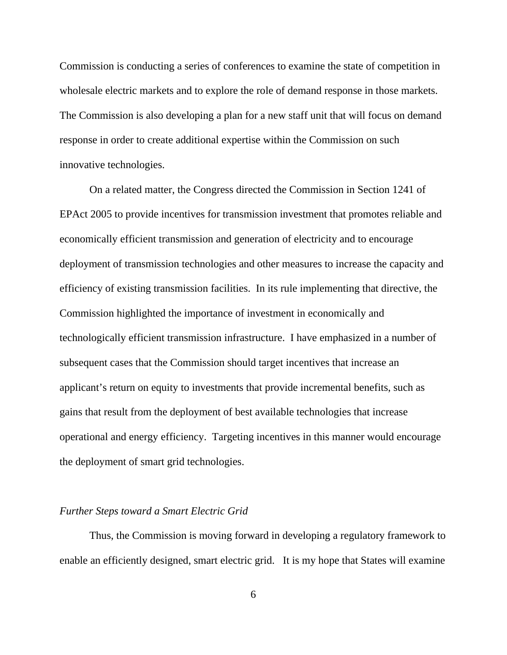Commission is conducting a series of conferences to examine the state of competition in wholesale electric markets and to explore the role of demand response in those markets. The Commission is also developing a plan for a new staff unit that will focus on demand response in order to create additional expertise within the Commission on such innovative technologies.

 On a related matter, the Congress directed the Commission in Section 1241 of EPAct 2005 to provide incentives for transmission investment that promotes reliable and economically efficient transmission and generation of electricity and to encourage deployment of transmission technologies and other measures to increase the capacity and efficiency of existing transmission facilities. In its rule implementing that directive, the Commission highlighted the importance of investment in economically and technologically efficient transmission infrastructure. I have emphasized in a number of subsequent cases that the Commission should target incentives that increase an applicant's return on equity to investments that provide incremental benefits, such as gains that result from the deployment of best available technologies that increase operational and energy efficiency. Targeting incentives in this manner would encourage the deployment of smart grid technologies.

## *Further Steps toward a Smart Electric Grid*

 Thus, the Commission is moving forward in developing a regulatory framework to enable an efficiently designed, smart electric grid. It is my hope that States will examine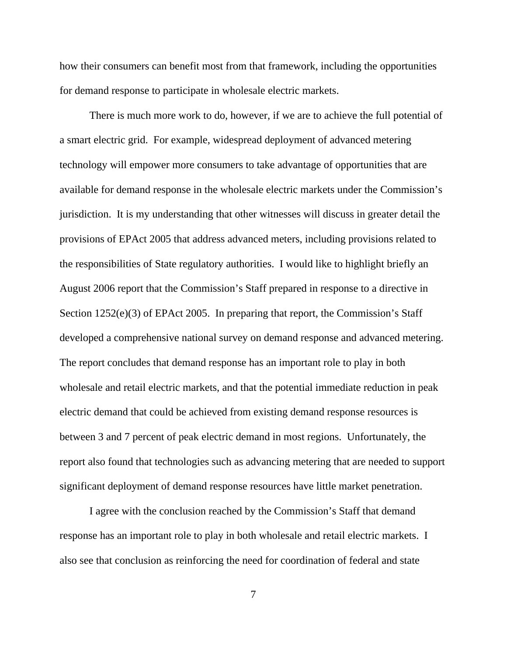how their consumers can benefit most from that framework, including the opportunities for demand response to participate in wholesale electric markets.

 There is much more work to do, however, if we are to achieve the full potential of a smart electric grid. For example, widespread deployment of advanced metering technology will empower more consumers to take advantage of opportunities that are available for demand response in the wholesale electric markets under the Commission's jurisdiction. It is my understanding that other witnesses will discuss in greater detail the provisions of EPAct 2005 that address advanced meters, including provisions related to the responsibilities of State regulatory authorities. I would like to highlight briefly an August 2006 report that the Commission's Staff prepared in response to a directive in Section 1252(e)(3) of EPAct 2005. In preparing that report, the Commission's Staff developed a comprehensive national survey on demand response and advanced metering. The report concludes that demand response has an important role to play in both wholesale and retail electric markets, and that the potential immediate reduction in peak electric demand that could be achieved from existing demand response resources is between 3 and 7 percent of peak electric demand in most regions. Unfortunately, the report also found that technologies such as advancing metering that are needed to support significant deployment of demand response resources have little market penetration.

 I agree with the conclusion reached by the Commission's Staff that demand response has an important role to play in both wholesale and retail electric markets. I also see that conclusion as reinforcing the need for coordination of federal and state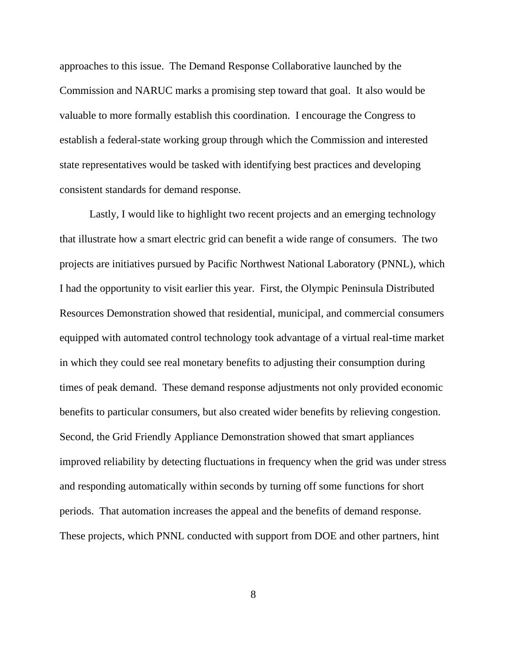approaches to this issue. The Demand Response Collaborative launched by the Commission and NARUC marks a promising step toward that goal. It also would be valuable to more formally establish this coordination. I encourage the Congress to establish a federal-state working group through which the Commission and interested state representatives would be tasked with identifying best practices and developing consistent standards for demand response.

 Lastly, I would like to highlight two recent projects and an emerging technology that illustrate how a smart electric grid can benefit a wide range of consumers. The two projects are initiatives pursued by Pacific Northwest National Laboratory (PNNL), which I had the opportunity to visit earlier this year. First, the Olympic Peninsula Distributed Resources Demonstration showed that residential, municipal, and commercial consumers equipped with automated control technology took advantage of a virtual real-time market in which they could see real monetary benefits to adjusting their consumption during times of peak demand. These demand response adjustments not only provided economic benefits to particular consumers, but also created wider benefits by relieving congestion. Second, the Grid Friendly Appliance Demonstration showed that smart appliances improved reliability by detecting fluctuations in frequency when the grid was under stress and responding automatically within seconds by turning off some functions for short periods. That automation increases the appeal and the benefits of demand response. These projects, which PNNL conducted with support from DOE and other partners, hint